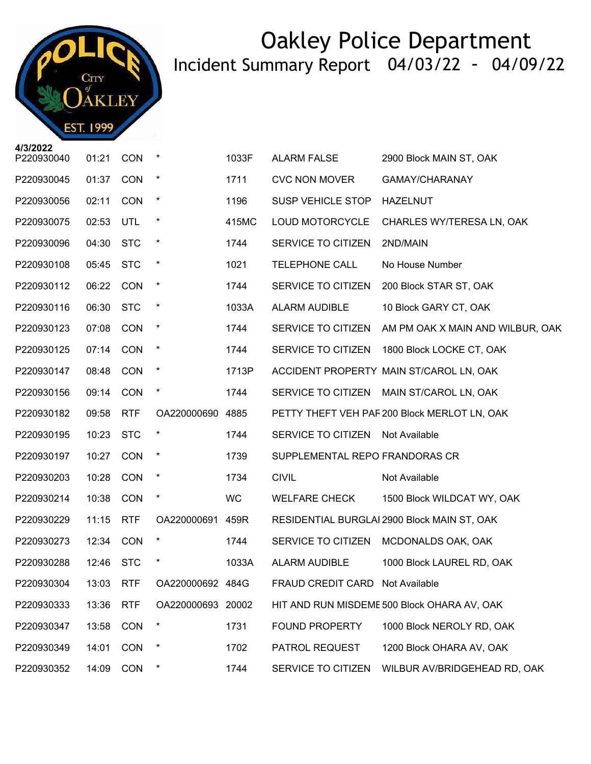

| P220930040 | 01:21 | <b>CON</b> | $\star$           | 1033F     | <b>ALARM FALSE</b>              | 2900 Block MAIN ST, OAK                      |
|------------|-------|------------|-------------------|-----------|---------------------------------|----------------------------------------------|
| P220930045 | 01:37 | CON        | $\star$           | 1711      | <b>CVC NON MOVER</b>            | GAMAY/CHARANAY                               |
| P220930056 | 02:11 | CON        | $\star$           | 1196      | <b>SUSP VEHICLE STOP</b>        | <b>HAZELNUT</b>                              |
| P220930075 | 02:53 | UTL        | $\star$           | 415MC     | LOUD MOTORCYCLE                 | CHARLES WY/TERESA LN, OAK                    |
| P220930096 | 04:30 | <b>STC</b> | $\star$           | 1744      | SERVICE TO CITIZEN              | 2ND/MAIN                                     |
| P220930108 | 05:45 | <b>STC</b> | $\star$           | 1021      | <b>TELEPHONE CALL</b>           | No House Number                              |
| P220930112 | 06:22 | <b>CON</b> | $\star$           | 1744      | SERVICE TO CITIZEN              | 200 Block STAR ST, OAK                       |
| P220930116 | 06:30 | <b>STC</b> | $\star$           | 1033A     | ALARM AUDIBLE                   | 10 Block GARY CT, OAK                        |
| P220930123 | 07:08 | <b>CON</b> | $\star$           | 1744      | SERVICE TO CITIZEN              | AM PM OAK X MAIN AND WILBUR, OAK             |
| P220930125 | 07:14 | <b>CON</b> | $\star$           | 1744      | SERVICE TO CITIZEN              | 1800 Block LOCKE CT, OAK                     |
| P220930147 | 08:48 | <b>CON</b> | $\star$           | 1713P     |                                 | ACCIDENT PROPERTY MAIN ST/CAROL LN, OAK      |
| P220930156 | 09:14 | <b>CON</b> | $\star$           | 1744      |                                 | SERVICE TO CITIZEN MAIN ST/CAROL LN, OAK     |
| P220930182 | 09:58 | <b>RTF</b> | OA220000690 4885  |           |                                 | PETTY THEFT VEH PAF 200 Block MERLOT LN, OAK |
| P220930195 | 10:23 | <b>STC</b> | $\star$           | 1744      | SERVICE TO CITIZEN              | Not Available                                |
| P220930197 | 10:27 | CON        | $\star$           | 1739      | SUPPLEMENTAL REPO FRANDORAS CR  |                                              |
| P220930203 | 10:28 | <b>CON</b> | $\star$           | 1734      | <b>CIVIL</b>                    | Not Available                                |
| P220930214 | 10:38 | CON        | $\star$           | <b>WC</b> | <b>WELFARE CHECK</b>            | 1500 Block WILDCAT WY, OAK                   |
| P220930229 | 11:15 | <b>RTF</b> | OA220000691 459R  |           |                                 | RESIDENTIAL BURGLAI 2900 Block MAIN ST, OAK  |
| P220930273 | 12:34 | <b>CON</b> | $\star$           | 1744      | SERVICE TO CITIZEN              | MCDONALDS OAK, OAK                           |
| P220930288 | 12:46 | <b>STC</b> | *                 | 1033A     | ALARM AUDIBLE                   | 1000 Block LAUREL RD, OAK                    |
| P220930304 | 13:03 | <b>RTF</b> | OA220000692 484G  |           | FRAUD CREDIT CARD Not Available |                                              |
| P220930333 | 13:36 | <b>RTF</b> | OA220000693 20002 |           |                                 | HIT AND RUN MISDEME 500 Block OHARA AV, OAK  |
| P220930347 | 13:58 | CON        | $\ast$            | 1731      | <b>FOUND PROPERTY</b>           | 1000 Block NEROLY RD, OAK                    |
| P220930349 | 14:01 | <b>CON</b> | $\star$           | 1702      | PATROL REQUEST                  | 1200 Block OHARA AV, OAK                     |
| P220930352 | 14:09 | CON        | $\star$           | 1744      | SERVICE TO CITIZEN              | WILBUR AV/BRIDGEHEAD RD, OAK                 |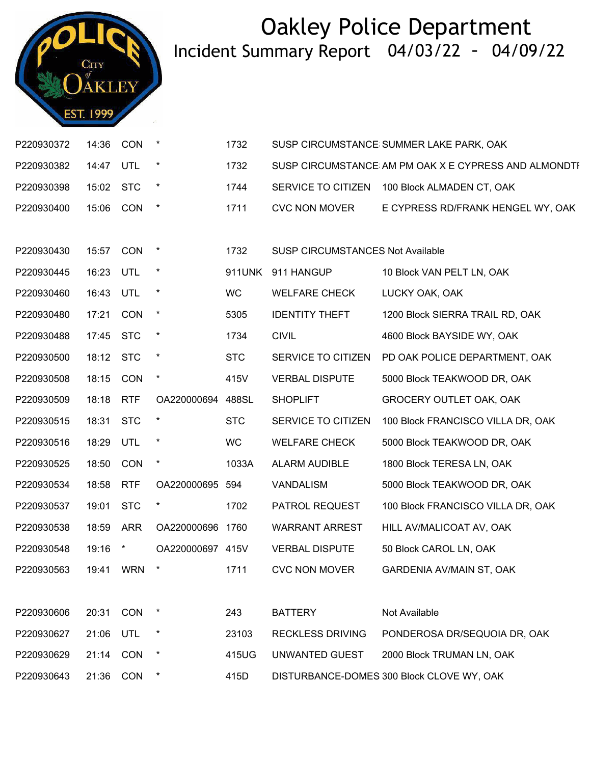

| P220930372             | 14:36     | CON        | $\star$           | 1732       |                                         | SUSP CIRCUMSTANCE SUMMER LAKE PARK, OAK              |
|------------------------|-----------|------------|-------------------|------------|-----------------------------------------|------------------------------------------------------|
| P220930382             | 14:47 UTL |            | $\star$           | 1732       |                                         | SUSP CIRCUMSTANCE AM PM OAK X E CYPRESS AND ALMONDTI |
| P220930398             | 15:02 STC |            | $\star$           | 1744       |                                         | SERVICE TO CITIZEN 100 Block ALMADEN CT, OAK         |
| P220930400             | 15:06     | <b>CON</b> | $\star$           | 1711       | <b>CVC NON MOVER</b>                    | E CYPRESS RD/FRANK HENGEL WY, OAK                    |
|                        |           |            |                   |            |                                         |                                                      |
| P220930430             | 15:57 CON |            | $\star$           | 1732       | <b>SUSP CIRCUMSTANCES Not Available</b> |                                                      |
| P220930445             | 16:23     | UTL        | $^\star$          | 911UNK     | 911 HANGUP                              | 10 Block VAN PELT LN, OAK                            |
| P220930460             | 16:43 UTL |            | $\star$           | WC         | <b>WELFARE CHECK</b>                    | LUCKY OAK, OAK                                       |
| P220930480             | 17:21     | CON        | $\star$           | 5305       | <b>IDENTITY THEFT</b>                   | 1200 Block SIERRA TRAIL RD, OAK                      |
| P220930488             | 17:45     | <b>STC</b> | $\star$           | 1734       | <b>CIVIL</b>                            | 4600 Block BAYSIDE WY, OAK                           |
| P220930500             | 18:12 STC |            | $\star$           | <b>STC</b> | SERVICE TO CITIZEN                      | PD OAK POLICE DEPARTMENT, OAK                        |
| P220930508             | 18:15     | CON        | $\star$           | 415V       | <b>VERBAL DISPUTE</b>                   | 5000 Block TEAKWOOD DR, OAK                          |
| P220930509             | 18:18     | <b>RTF</b> | OA220000694 488SL |            | <b>SHOPLIFT</b>                         | GROCERY OUTLET OAK, OAK                              |
| P220930515             | 18:31 STC |            | $\star$           | <b>STC</b> | SERVICE TO CITIZEN                      | 100 Block FRANCISCO VILLA DR, OAK                    |
| P220930516             | 18:29 UTL |            | $\star$           | <b>WC</b>  | <b>WELFARE CHECK</b>                    | 5000 Block TEAKWOOD DR, OAK                          |
| P220930525             | 18:50     | CON        | $^\star$          | 1033A      | ALARM AUDIBLE                           | 1800 Block TERESA LN, OAK                            |
| P220930534             | 18:58     | <b>RTF</b> | OA220000695 594   |            | <b>VANDALISM</b>                        | 5000 Block TEAKWOOD DR, OAK                          |
| P220930537             | 19:01     | <b>STC</b> | $\star$           | 1702       | PATROL REQUEST                          | 100 Block FRANCISCO VILLA DR, OAK                    |
| P220930538             | 18:59     | ARR        | OA220000696 1760  |            | <b>WARRANT ARREST</b>                   | HILL AV/MALICOAT AV, OAK                             |
| P220930548             | 19:16     | $\star$    | OA220000697 415V  |            | <b>VERBAL DISPUTE</b>                   | 50 Block CAROL LN, OAK                               |
| P220930563 19:41 WRN * |           |            |                   | 1711       | <b>CVC NON MOVER</b>                    | GARDENIA AV/MAIN ST, OAK                             |
|                        |           |            |                   |            |                                         |                                                      |
| P220930606             | 20:31     | CON        |                   | 243        | <b>BATTERY</b>                          | Not Available                                        |
| P220930627             | 21:06     | UTL        | $^\star$          | 23103      | <b>RECKLESS DRIVING</b>                 | PONDEROSA DR/SEQUOIA DR, OAK                         |
| P220930629             | 21:14     | <b>CON</b> | $\star$           | 415UG      | UNWANTED GUEST                          | 2000 Block TRUMAN LN, OAK                            |
| P220930643             | 21:36     | CON        | $^\star$          | 415D       |                                         | DISTURBANCE-DOMES 300 Block CLOVE WY, OAK            |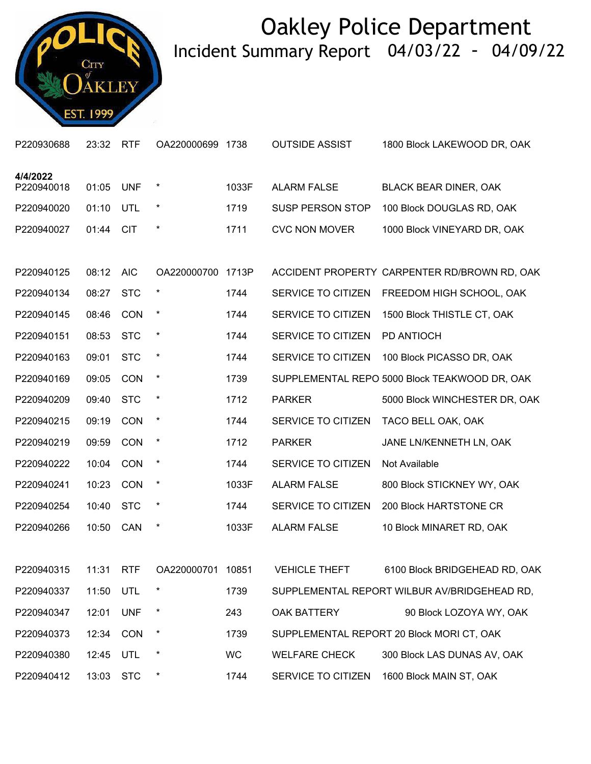

| P220930688 | 23:32 | <b>RTF</b> | OA220000699 1738  |           | <b>OUTSIDE ASSIST</b>   | 1800 Block LAKEWOOD DR, OAK                   |
|------------|-------|------------|-------------------|-----------|-------------------------|-----------------------------------------------|
| 4/4/2022   |       |            |                   |           |                         |                                               |
| P220940018 | 01:05 | <b>UNF</b> | $\star$           | 1033F     | <b>ALARM FALSE</b>      | <b>BLACK BEAR DINER, OAK</b>                  |
| P220940020 | 01:10 | UTL        | $\ast$            | 1719      | <b>SUSP PERSON STOP</b> | 100 Block DOUGLAS RD, OAK                     |
| P220940027 | 01:44 | <b>CIT</b> | $\star$           | 1711      | <b>CVC NON MOVER</b>    | 1000 Block VINEYARD DR, OAK                   |
|            |       |            |                   |           |                         |                                               |
| P220940125 | 08:12 | <b>AIC</b> | OA220000700 1713P |           |                         | ACCIDENT PROPERTY CARPENTER RD/BROWN RD, OAK  |
| P220940134 | 08:27 | <b>STC</b> | $\star$           | 1744      | SERVICE TO CITIZEN      | FREEDOM HIGH SCHOOL, OAK                      |
| P220940145 | 08:46 | <b>CON</b> | $\star$           | 1744      | SERVICE TO CITIZEN      | 1500 Block THISTLE CT, OAK                    |
| P220940151 | 08:53 | <b>STC</b> | $\ast$            | 1744      | SERVICE TO CITIZEN      | PD ANTIOCH                                    |
| P220940163 | 09:01 | <b>STC</b> | $\ast$            | 1744      | SERVICE TO CITIZEN      | 100 Block PICASSO DR, OAK                     |
| P220940169 | 09:05 | <b>CON</b> | $\star$           | 1739      |                         | SUPPLEMENTAL REPO 5000 Block TEAKWOOD DR, OAK |
| P220940209 | 09:40 | <b>STC</b> | $\ast$            | 1712      | <b>PARKER</b>           | 5000 Block WINCHESTER DR, OAK                 |
| P220940215 | 09:19 | <b>CON</b> | $\ast$            | 1744      | SERVICE TO CITIZEN      | TACO BELL OAK, OAK                            |
| P220940219 | 09:59 | <b>CON</b> | $\star$           | 1712      | <b>PARKER</b>           | JANE LN/KENNETH LN, OAK                       |
| P220940222 | 10:04 | <b>CON</b> | $\ast$            | 1744      | SERVICE TO CITIZEN      | Not Available                                 |
| P220940241 | 10:23 | <b>CON</b> | $\ast$            | 1033F     | <b>ALARM FALSE</b>      | 800 Block STICKNEY WY, OAK                    |
| P220940254 | 10:40 | <b>STC</b> | $\ast$            | 1744      | SERVICE TO CITIZEN      | 200 Block HARTSTONE CR                        |
| P220940266 | 10:50 | CAN        | $\ast$            | 1033F     | <b>ALARM FALSE</b>      | 10 Block MINARET RD, OAK                      |
|            |       |            |                   |           |                         |                                               |
| P220940315 | 11:31 | <b>RTF</b> | OA220000701 10851 |           | <b>VEHICLE THEFT</b>    | 6100 Block BRIDGEHEAD RD, OAK                 |
| P220940337 | 11:50 | UTL        | $\ast$            | 1739      |                         | SUPPLEMENTAL REPORT WILBUR AV/BRIDGEHEAD RD,  |
| P220940347 | 12:01 | <b>UNF</b> | $\ast$            | 243       | OAK BATTERY             | 90 Block LOZOYA WY, OAK                       |
| P220940373 | 12:34 | <b>CON</b> | $\ast$            | 1739      |                         | SUPPLEMENTAL REPORT 20 Block MORI CT, OAK     |
| P220940380 | 12:45 | <b>UTL</b> | $\ast$            | <b>WC</b> | <b>WELFARE CHECK</b>    | 300 Block LAS DUNAS AV, OAK                   |
| P220940412 | 13:03 | <b>STC</b> |                   | 1744      | SERVICE TO CITIZEN      | 1600 Block MAIN ST, OAK                       |
|            |       |            |                   |           |                         |                                               |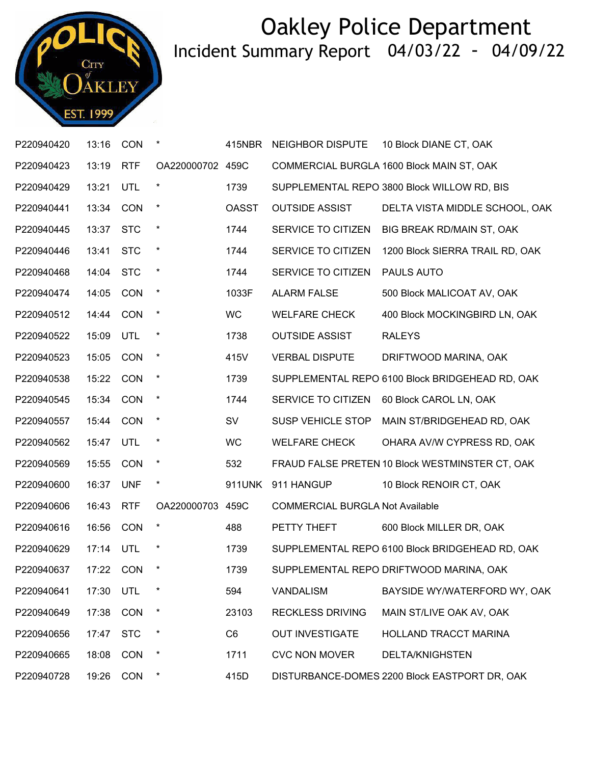

| P220940420 | 13:16     | <b>CON</b> |                  | 415NBR         | <b>NEIGHBOR DISPUTE</b>                | 10 Block DIANE CT, OAK                          |
|------------|-----------|------------|------------------|----------------|----------------------------------------|-------------------------------------------------|
| P220940423 | 13:19     | <b>RTF</b> | OA220000702 459C |                |                                        | COMMERCIAL BURGLA 1600 Block MAIN ST, OAK       |
| P220940429 | 13:21     | <b>UTL</b> | $\star$          | 1739           |                                        | SUPPLEMENTAL REPO 3800 Block WILLOW RD, BIS     |
| P220940441 | 13:34     | <b>CON</b> | $\star$          | <b>OASST</b>   | <b>OUTSIDE ASSIST</b>                  | DELTA VISTA MIDDLE SCHOOL, OAK                  |
| P220940445 | 13:37     | <b>STC</b> | $\star$          | 1744           | SERVICE TO CITIZEN                     | BIG BREAK RD/MAIN ST, OAK                       |
| P220940446 | 13:41     | <b>STC</b> | $\star$          | 1744           | SERVICE TO CITIZEN                     | 1200 Block SIERRA TRAIL RD, OAK                 |
| P220940468 | 14:04     | <b>STC</b> | $\star$          | 1744           | SERVICE TO CITIZEN                     | PAULS AUTO                                      |
| P220940474 | 14:05     | <b>CON</b> | $\star$          | 1033F          | <b>ALARM FALSE</b>                     | 500 Block MALICOAT AV, OAK                      |
| P220940512 | 14:44     | <b>CON</b> | $\star$          | <b>WC</b>      | <b>WELFARE CHECK</b>                   | 400 Block MOCKINGBIRD LN, OAK                   |
| P220940522 | 15:09     | UTL        | $\star$          | 1738           | <b>OUTSIDE ASSIST</b>                  | <b>RALEYS</b>                                   |
| P220940523 | 15:05     | <b>CON</b> | $\star$          | 415V           | <b>VERBAL DISPUTE</b>                  | DRIFTWOOD MARINA, OAK                           |
| P220940538 | 15:22     | <b>CON</b> | $\star$          | 1739           |                                        | SUPPLEMENTAL REPO 6100 Block BRIDGEHEAD RD, OAK |
| P220940545 | 15:34     | <b>CON</b> | $\star$          | 1744           | SERVICE TO CITIZEN                     | 60 Block CAROL LN, OAK                          |
| P220940557 | 15:44     | <b>CON</b> | $\star$          | <b>SV</b>      | SUSP VEHICLE STOP                      | MAIN ST/BRIDGEHEAD RD, OAK                      |
| P220940562 | 15:47     | UTL        | $\star$          | <b>WC</b>      | <b>WELFARE CHECK</b>                   | OHARA AV/W CYPRESS RD, OAK                      |
| P220940569 | 15:55     | <b>CON</b> | $\star$          | 532            |                                        | FRAUD FALSE PRETEN 10 Block WESTMINSTER CT, OAK |
| P220940600 | 16:37     | <b>UNF</b> | $\star$          | 911UNK         | 911 HANGUP                             | 10 Block RENOIR CT, OAK                         |
| P220940606 | 16:43     | <b>RTF</b> | OA220000703 459C |                | <b>COMMERCIAL BURGLA Not Available</b> |                                                 |
| P220940616 | 16:56     | <b>CON</b> | $\star$          | 488            | PETTY THEFT                            | 600 Block MILLER DR, OAK                        |
| P220940629 | 17:14     | <b>UTL</b> | $\ast$           | 1739           |                                        | SUPPLEMENTAL REPO 6100 Block BRIDGEHEAD RD, OAK |
| P220940637 | 17:22 CON |            |                  | 1739           |                                        | SUPPLEMENTAL REPO DRIFTWOOD MARINA, OAK         |
| P220940641 | 17:30     | <b>UTL</b> | $\ast$           | 594            | <b>VANDALISM</b>                       | BAYSIDE WY/WATERFORD WY, OAK                    |
| P220940649 | 17:38     | <b>CON</b> | $\star$          | 23103          | <b>RECKLESS DRIVING</b>                | MAIN ST/LIVE OAK AV, OAK                        |
| P220940656 | 17:47     | <b>STC</b> | $\star$          | C <sub>6</sub> | <b>OUT INVESTIGATE</b>                 | HOLLAND TRACCT MARINA                           |
| P220940665 | 18:08     | <b>CON</b> | $\star$          | 1711           | <b>CVC NON MOVER</b>                   | <b>DELTA/KNIGHSTEN</b>                          |
| P220940728 | 19:26     | <b>CON</b> | $\star$          | 415D           |                                        | DISTURBANCE-DOMES 2200 Block EASTPORT DR, OAK   |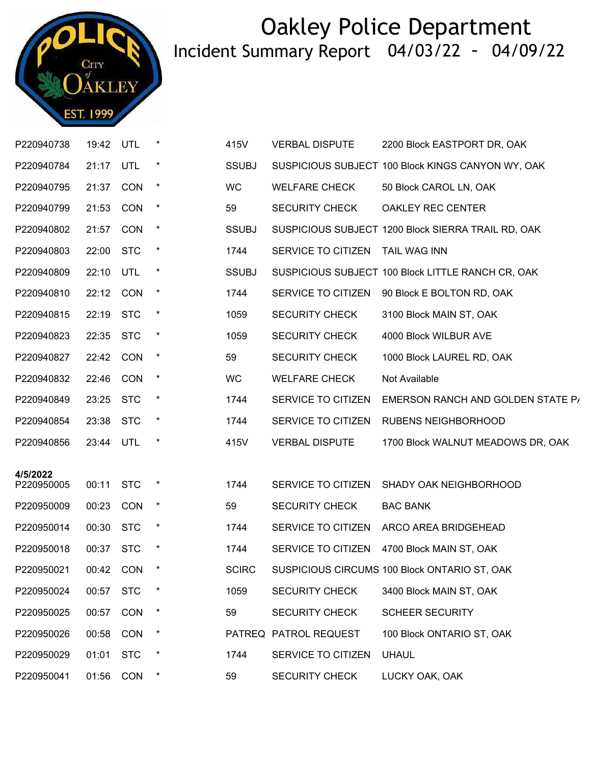

|          | P220940738 | 19:42     | UTL        |         | 415V         | <b>VERBAL DISPUTE</b> | 2200 Block EASTPORT DR, OAK                        |
|----------|------------|-----------|------------|---------|--------------|-----------------------|----------------------------------------------------|
|          | P220940784 | 21:17     | UTL        | $\ast$  | <b>SSUBJ</b> |                       | SUSPICIOUS SUBJECT 100 Block KINGS CANYON WY, OAK  |
|          | P220940795 | 21:37 CON |            | $\star$ | WC           | <b>WELFARE CHECK</b>  | 50 Block CAROL LN, OAK                             |
|          | P220940799 | 21:53     | <b>CON</b> | $\star$ | 59           | <b>SECURITY CHECK</b> | OAKLEY REC CENTER                                  |
|          | P220940802 | 21:57     | CON        | $\star$ | <b>SSUBJ</b> |                       | SUSPICIOUS SUBJECT 1200 Block SIERRA TRAIL RD, OAK |
|          | P220940803 | 22:00 STC |            | $\star$ | 1744         | SERVICE TO CITIZEN    | TAIL WAG INN                                       |
|          | P220940809 | 22:10 UTL |            | $\star$ | <b>SSUBJ</b> |                       | SUSPICIOUS SUBJECT 100 Block LITTLE RANCH CR, OAK  |
|          | P220940810 | 22:12     | CON        | $\star$ | 1744         | SERVICE TO CITIZEN    | 90 Block E BOLTON RD, OAK                          |
|          | P220940815 | 22:19 STC |            | $\star$ | 1059         | <b>SECURITY CHECK</b> | 3100 Block MAIN ST, OAK                            |
|          | P220940823 | 22:35     | <b>STC</b> | $\star$ | 1059         | <b>SECURITY CHECK</b> | 4000 Block WILBUR AVE                              |
|          | P220940827 | 22:42     | <b>CON</b> | $\star$ | 59           | <b>SECURITY CHECK</b> | 1000 Block LAUREL RD, OAK                          |
|          | P220940832 | 22:46 CON |            | $\star$ | <b>WC</b>    | <b>WELFARE CHECK</b>  | Not Available                                      |
|          | P220940849 | 23:25     | <b>STC</b> | $\star$ | 1744         | SERVICE TO CITIZEN    | EMERSON RANCH AND GOLDEN STATE P/                  |
|          | P220940854 | 23:38     | <b>STC</b> | $\ast$  | 1744         | SERVICE TO CITIZEN    | RUBENS NEIGHBORHOOD                                |
|          | P220940856 | 23:44 UTL |            | $\star$ | 415V         | <b>VERBAL DISPUTE</b> | 1700 Block WALNUT MEADOWS DR, OAK                  |
| 4/5/2022 |            |           |            |         |              |                       |                                                    |
|          | P220950005 | 00:11     | <b>STC</b> | $\star$ | 1744         | SERVICE TO CITIZEN    | SHADY OAK NEIGHBORHOOD                             |
|          | P220950009 | 00:23     | CON        | $\star$ | 59           | <b>SECURITY CHECK</b> | <b>BAC BANK</b>                                    |
|          | P220950014 | 00:30     | <b>STC</b> | $\star$ | 1744         | SERVICE TO CITIZEN    | ARCO AREA BRIDGEHEAD                               |
|          | P220950018 | 00:37     | <b>STC</b> | $\ast$  | 1744         | SERVICE TO CITIZEN    | 4700 Block MAIN ST, OAK                            |
|          | P220950021 | 00:42     | <b>CON</b> | $\star$ | <b>SCIRC</b> |                       | SUSPICIOUS CIRCUMS 100 Block ONTARIO ST, OAK       |
|          | P220950024 | 00:57     | <b>STC</b> |         | 1059         | <b>SECURITY CHECK</b> | 3400 Block MAIN ST, OAK                            |
|          | P220950025 | 00:57     | CON        | $\star$ | 59           | <b>SECURITY CHECK</b> | <b>SCHEER SECURITY</b>                             |
|          | P220950026 | 00:58     | <b>CON</b> |         |              | PATREQ PATROL REQUEST | 100 Block ONTARIO ST, OAK                          |
|          | P220950029 | 01:01     | <b>STC</b> | $\ast$  | 1744         | SERVICE TO CITIZEN    | <b>UHAUL</b>                                       |
|          | P220950041 | 01:56     | CON        | $\star$ | 59           | <b>SECURITY CHECK</b> | LUCKY OAK, OAK                                     |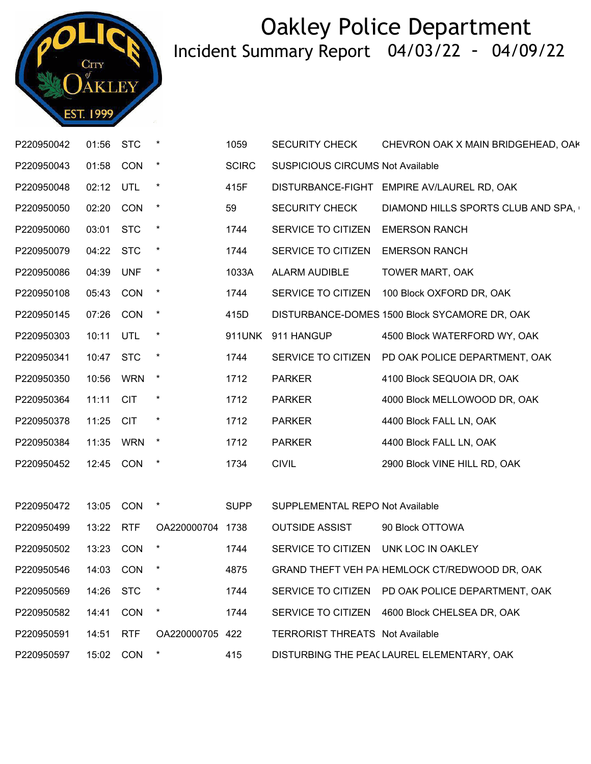

| P220950042 | 01:56 STC |            |                  | 1059         | <b>SECURITY CHECK</b>                   | CHEVRON OAK X MAIN BRIDGEHEAD, OAK               |
|------------|-----------|------------|------------------|--------------|-----------------------------------------|--------------------------------------------------|
| P220950043 | 01:58     | <b>CON</b> | $\star$          | <b>SCIRC</b> | <b>SUSPICIOUS CIRCUMS Not Available</b> |                                                  |
| P220950048 | 02:12     | UTL        | $\ast$           | 415F         | DISTURBANCE-FIGHT                       | EMPIRE AV/LAUREL RD, OAK                         |
| P220950050 | 02:20     | CON        | $\star$          | 59           | <b>SECURITY CHECK</b>                   | DIAMOND HILLS SPORTS CLUB AND SPA,               |
| P220950060 | 03:01     | <b>STC</b> | $\ast$           | 1744         | SERVICE TO CITIZEN                      | <b>EMERSON RANCH</b>                             |
| P220950079 | 04:22     | <b>STC</b> | $\star$          | 1744         | SERVICE TO CITIZEN                      | <b>EMERSON RANCH</b>                             |
| P220950086 | 04:39 UNF |            | $\star$          | 1033A        | ALARM AUDIBLE                           | <b>TOWER MART, OAK</b>                           |
| P220950108 | 05:43     | <b>CON</b> | $\star$          | 1744         | SERVICE TO CITIZEN                      | 100 Block OXFORD DR, OAK                         |
| P220950145 | 07:26     | <b>CON</b> | $\star$          | 415D         |                                         | DISTURBANCE-DOMES 1500 Block SYCAMORE DR, OAK    |
| P220950303 | 10:11 UTL |            | $\star$          | 911UNK       | 911 HANGUP                              | 4500 Block WATERFORD WY, OAK                     |
| P220950341 | 10:47     | <b>STC</b> | $\star$          | 1744         | SERVICE TO CITIZEN                      | PD OAK POLICE DEPARTMENT, OAK                    |
| P220950350 | 10:56     | <b>WRN</b> | $\star$          | 1712         | <b>PARKER</b>                           | 4100 Block SEQUOIA DR, OAK                       |
| P220950364 | 11:11     | <b>CIT</b> | $\star$          | 1712         | <b>PARKER</b>                           | 4000 Block MELLOWOOD DR, OAK                     |
| P220950378 | 11:25     | <b>CIT</b> | $\star$          | 1712         | <b>PARKER</b>                           | 4400 Block FALL LN, OAK                          |
| P220950384 | 11:35     | <b>WRN</b> | $\star$          | 1712         | <b>PARKER</b>                           | 4400 Block FALL LN, OAK                          |
| P220950452 | 12:45 CON |            | $\ast$           | 1734         | <b>CIVIL</b>                            | 2900 Block VINE HILL RD, OAK                     |
|            |           |            |                  |              |                                         |                                                  |
| P220950472 | 13:05     | <b>CON</b> | $\star$          | <b>SUPP</b>  | SUPPLEMENTAL REPO Not Available         |                                                  |
| P220950499 | 13:22 RTF |            | OA220000704 1738 |              | <b>OUTSIDE ASSIST</b>                   | 90 Block OTTOWA                                  |
| P220950502 | 13:23 CON |            | $\ast$           | 1744         | SERVICE TO CITIZEN UNK LOC IN OAKLEY    |                                                  |
| P220950546 |           | 14:03 CON  |                  | 4875         |                                         | GRAND THEFT VEH PA HEMLOCK CT/REDWOOD DR, OAK    |
| P220950569 | 14:26 STC |            |                  | 1744         |                                         | SERVICE TO CITIZEN PD OAK POLICE DEPARTMENT, OAK |
| P220950582 | 14:41     | <b>CON</b> |                  | 1744         |                                         | SERVICE TO CITIZEN 4600 Block CHELSEA DR, OAK    |
| P220950591 | 14:51     | <b>RTF</b> | OA220000705 422  |              | <b>TERRORIST THREATS Not Available</b>  |                                                  |
| P220950597 | 15:02     | <b>CON</b> |                  | 415          |                                         | DISTURBING THE PEA( LAUREL ELEMENTARY, OAK       |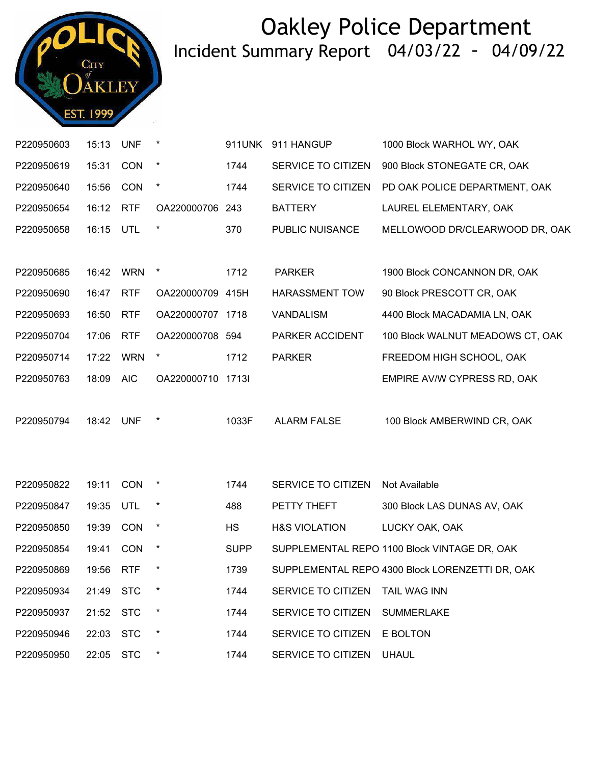

| P220950603 | 15:13     | <b>UNF</b> | $\ast$            | 911UNK      | 911 HANGUP               | 1000 Block WARHOL WY, OAK                       |
|------------|-----------|------------|-------------------|-------------|--------------------------|-------------------------------------------------|
| P220950619 | 15:31     | CON        | $\star$           | 1744        | SERVICE TO CITIZEN       | 900 Block STONEGATE CR, OAK                     |
| P220950640 | 15:56     | <b>CON</b> | $^{\star}$        | 1744        | SERVICE TO CITIZEN       | PD OAK POLICE DEPARTMENT, OAK                   |
| P220950654 | 16:12     | <b>RTF</b> | OA220000706 243   |             | <b>BATTERY</b>           | LAUREL ELEMENTARY, OAK                          |
| P220950658 | 16:15     | UTL        | $\ast$            | 370         | PUBLIC NUISANCE          | MELLOWOOD DR/CLEARWOOD DR, OAK                  |
|            |           |            |                   |             |                          |                                                 |
| P220950685 | 16:42     | <b>WRN</b> | $\ast$            | 1712        | <b>PARKER</b>            | 1900 Block CONCANNON DR, OAK                    |
| P220950690 | 16:47     | <b>RTF</b> | OA220000709 415H  |             | <b>HARASSMENT TOW</b>    | 90 Block PRESCOTT CR, OAK                       |
| P220950693 | 16:50     | <b>RTF</b> | OA220000707 1718  |             | <b>VANDALISM</b>         | 4400 Block MACADAMIA LN, OAK                    |
| P220950704 | 17:06     | <b>RTF</b> | OA220000708 594   |             | PARKER ACCIDENT          | 100 Block WALNUT MEADOWS CT, OAK                |
| P220950714 | 17:22     | <b>WRN</b> | $\star$           | 1712        | <b>PARKER</b>            | FREEDOM HIGH SCHOOL, OAK                        |
| P220950763 | 18:09     | <b>AIC</b> | OA220000710 1713I |             |                          | EMPIRE AV/W CYPRESS RD, OAK                     |
|            |           |            |                   |             |                          |                                                 |
| P220950794 | 18:42     | <b>UNF</b> | $\ast$            | 1033F       | <b>ALARM FALSE</b>       | 100 Block AMBERWIND CR, OAK                     |
|            |           |            |                   |             |                          |                                                 |
|            |           |            |                   |             |                          |                                                 |
| P220950822 | 19:11     | <b>CON</b> | $\ast$            | 1744        | SERVICE TO CITIZEN       | Not Available                                   |
| P220950847 | 19:35     | UTL        | $\ast$            | 488         | PETTY THEFT              | 300 Block LAS DUNAS AV, OAK                     |
| P220950850 | 19:39     | CON        | $\star$           | <b>HS</b>   | <b>H&amp;S VIOLATION</b> | LUCKY OAK, OAK                                  |
| P220950854 | 19:41     | <b>CON</b> | $\star$           | <b>SUPP</b> |                          | SUPPLEMENTAL REPO 1100 Block VINTAGE DR, OAK    |
| P220950869 | 19:56 RTF |            | $\ast$            | 1739        |                          | SUPPLEMENTAL REPO 4300 Block LORENZETTI DR, OAK |
| P220950934 | 21:49     | <b>STC</b> |                   | 1744        | SERVICE TO CITIZEN       | <b>TAIL WAG INN</b>                             |
| P220950937 | 21:52     | <b>STC</b> | $\ast$            | 1744        | SERVICE TO CITIZEN       | <b>SUMMERLAKE</b>                               |
| P220950946 | 22:03     | <b>STC</b> | $\ast$            | 1744        | SERVICE TO CITIZEN       | E BOLTON                                        |
| P220950950 | 22:05     | <b>STC</b> |                   | 1744        | SERVICE TO CITIZEN       | <b>UHAUL</b>                                    |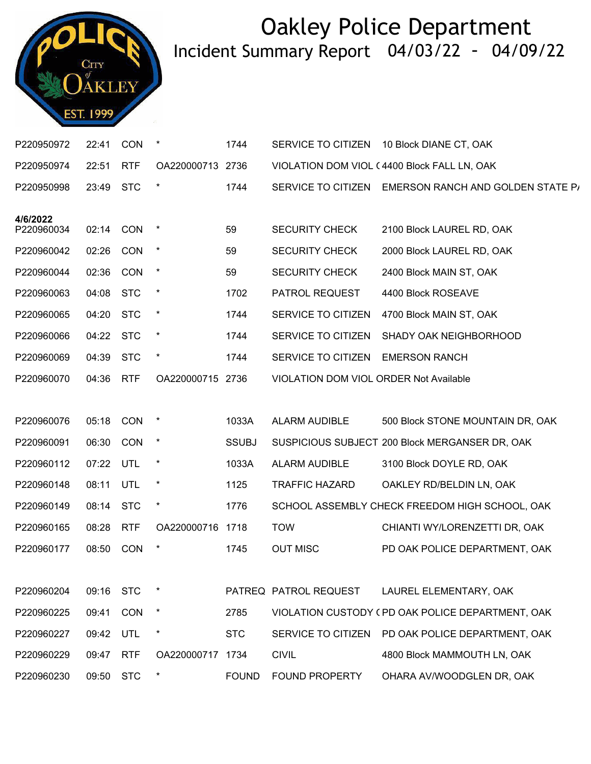

| P220950972             | 22:41     | <b>CON</b> |                  | 1744         | SERVICE TO CITIZEN                            | 10 Block DIANE CT, OAK                               |
|------------------------|-----------|------------|------------------|--------------|-----------------------------------------------|------------------------------------------------------|
| P220950974             | 22:51     | <b>RTF</b> | OA220000713 2736 |              |                                               | VIOLATION DOM VIOL (4400 Block FALL LN, OAK          |
| P220950998             | 23:49     | <b>STC</b> | $\ast$           | 1744         |                                               | SERVICE TO CITIZEN EMERSON RANCH AND GOLDEN STATE P/ |
|                        |           |            |                  |              |                                               |                                                      |
| 4/6/2022<br>P220960034 | 02:14 CON |            | $\ast$           | 59           | <b>SECURITY CHECK</b>                         | 2100 Block LAUREL RD, OAK                            |
| P220960042             | 02:26     | <b>CON</b> | $\star$          | 59           | <b>SECURITY CHECK</b>                         | 2000 Block LAUREL RD, OAK                            |
| P220960044             | 02:36 CON |            | $\star$          | 59           | <b>SECURITY CHECK</b>                         | 2400 Block MAIN ST, OAK                              |
| P220960063             | 04:08     | <b>STC</b> | $\ast$           | 1702         | PATROL REQUEST                                | 4400 Block ROSEAVE                                   |
| P220960065             | 04:20     | <b>STC</b> | $\ast$           | 1744         | SERVICE TO CITIZEN                            | 4700 Block MAIN ST, OAK                              |
| P220960066             | 04:22     | <b>STC</b> | $\star$          | 1744         | SERVICE TO CITIZEN                            | SHADY OAK NEIGHBORHOOD                               |
| P220960069             | 04:39     | <b>STC</b> | $\star$          | 1744         | SERVICE TO CITIZEN                            | <b>EMERSON RANCH</b>                                 |
| P220960070             | 04:36     | <b>RTF</b> | OA220000715 2736 |              | <b>VIOLATION DOM VIOL ORDER Not Available</b> |                                                      |
|                        |           |            |                  |              |                                               |                                                      |
| P220960076             | 05:18     | <b>CON</b> | $\star$          | 1033A        | ALARM AUDIBLE                                 | 500 Block STONE MOUNTAIN DR, OAK                     |
| P220960091             | 06:30     | CON        | $\ast$           | <b>SSUBJ</b> |                                               | SUSPICIOUS SUBJECT 200 Block MERGANSER DR, OAK       |
| P220960112             | 07:22 UTL |            | $\ast$           | 1033A        | <b>ALARM AUDIBLE</b>                          | 3100 Block DOYLE RD, OAK                             |
| P220960148             | 08:11     | UTL        | $\star$          | 1125         | <b>TRAFFIC HAZARD</b>                         | OAKLEY RD/BELDIN LN, OAK                             |
| P220960149             | 08:14     | <b>STC</b> | $\ast$           | 1776         |                                               | SCHOOL ASSEMBLY CHECK FREEDOM HIGH SCHOOL, OAK       |
| P220960165             | 08:28     | <b>RTF</b> | OA220000716 1718 |              | <b>TOW</b>                                    | CHIANTI WY/LORENZETTI DR, OAK                        |
| P220960177             | 08:50     | <b>CON</b> | $\ast$           | 1745         | <b>OUT MISC</b>                               | PD OAK POLICE DEPARTMENT, OAK                        |
|                        |           |            |                  |              |                                               |                                                      |
| P220960204             | 09:16 STC |            |                  |              | PATREQ PATROL REQUEST                         | LAUREL ELEMENTARY, OAK                               |
| P220960225             | 09:41     | CON        | $\ast$           | 2785         |                                               | VIOLATION CUSTODY (PD OAK POLICE DEPARTMENT, OAK     |
| P220960227             | 09:42     | UTL        | $\ast$           | <b>STC</b>   | SERVICE TO CITIZEN                            | PD OAK POLICE DEPARTMENT, OAK                        |
| P220960229             | 09:47     | <b>RTF</b> | OA220000717 1734 |              | <b>CIVIL</b>                                  | 4800 Block MAMMOUTH LN, OAK                          |
| P220960230             | 09:50     | <b>STC</b> | $\ast$           | <b>FOUND</b> | <b>FOUND PROPERTY</b>                         | OHARA AV/WOODGLEN DR, OAK                            |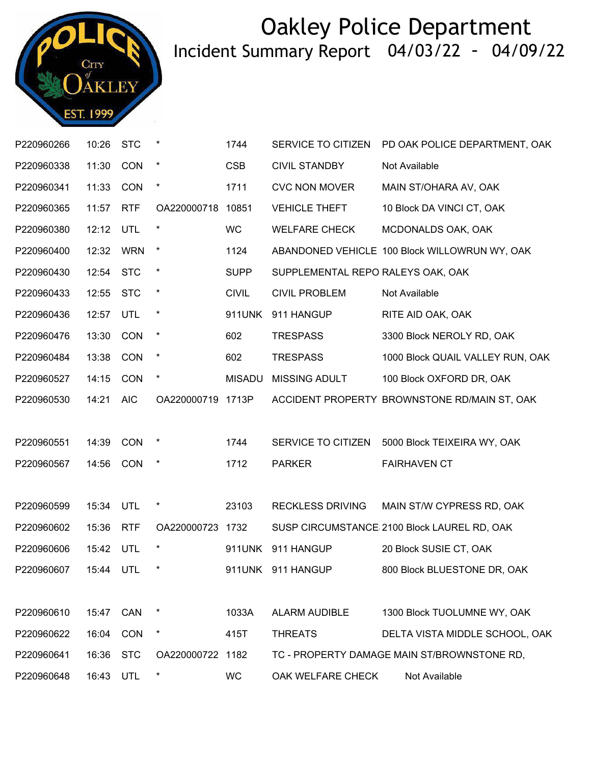

| P220960266           | 10:26     | <b>STC</b> | $\ast$            | 1744          | SERVICE TO CITIZEN                | PD OAK POLICE DEPARTMENT, OAK                 |
|----------------------|-----------|------------|-------------------|---------------|-----------------------------------|-----------------------------------------------|
| P220960338           | 11:30     | CON        | $\star$           | <b>CSB</b>    | <b>CIVIL STANDBY</b>              | Not Available                                 |
| P220960341           | 11:33     | CON        | $\ast$            | 1711          | <b>CVC NON MOVER</b>              | MAIN ST/OHARA AV, OAK                         |
| P220960365           | 11:57     | <b>RTF</b> | OA220000718       | 10851         | <b>VEHICLE THEFT</b>              | 10 Block DA VINCI CT, OAK                     |
| P220960380           | 12:12     | UTL        | $^{\star}$        | <b>WC</b>     | <b>WELFARE CHECK</b>              | MCDONALDS OAK, OAK                            |
| P220960400           | 12:32     | <b>WRN</b> | $\ast$            | 1124          |                                   | ABANDONED VEHICLE 100 Block WILLOWRUN WY, OAK |
| P220960430           | 12:54     | <b>STC</b> | $\ast$            | <b>SUPP</b>   | SUPPLEMENTAL REPO RALEYS OAK, OAK |                                               |
| P220960433           | 12:55     | <b>STC</b> | $\star$           | <b>CIVIL</b>  | <b>CIVIL PROBLEM</b>              | Not Available                                 |
| P220960436           | 12:57     | UTL        | $\ast$            | 911UNK        | 911 HANGUP                        | RITE AID OAK, OAK                             |
| P220960476           | 13:30     | <b>CON</b> | $\ast$            | 602           | <b>TRESPASS</b>                   | 3300 Block NEROLY RD, OAK                     |
| P220960484           | 13:38     | CON        | $\star$           | 602           | <b>TRESPASS</b>                   | 1000 Block QUAIL VALLEY RUN, OAK              |
| P220960527           | 14:15     | CON        | $\ast$            | <b>MISADU</b> | <b>MISSING ADULT</b>              | 100 Block OXFORD DR, OAK                      |
| P220960530           | 14:21     | <b>AIC</b> | OA220000719 1713P |               |                                   | ACCIDENT PROPERTY BROWNSTONE RD/MAIN ST, OAK  |
|                      |           |            |                   |               |                                   |                                               |
| P220960551           | 14:39     | CON        | $\ast$            | 1744          | SERVICE TO CITIZEN                | 5000 Block TEIXEIRA WY, OAK                   |
| P220960567           | 14:56     | CON        | $\ast$            | 1712          | <b>PARKER</b>                     | <b>FAIRHAVEN CT</b>                           |
|                      |           |            |                   |               |                                   |                                               |
| P220960599           | 15:34     | UTL        | $\star$           | 23103         | <b>RECKLESS DRIVING</b>           | MAIN ST/W CYPRESS RD, OAK                     |
| P220960602           | 15:36     | <b>RTF</b> | OA220000723       | 1732          |                                   | SUSP CIRCUMSTANCE 2100 Block LAUREL RD, OAK   |
| P220960606           | 15:42 UTL |            |                   | 911UNK        | 911 HANGUP                        | 20 Block SUSIE CT, OAK                        |
| P220960607 15:44 UTL |           |            |                   |               | 911UNK 911 HANGUP                 | 800 Block BLUESTONE DR, OAK                   |
|                      |           |            |                   |               |                                   |                                               |
| P220960610           | 15:47     | CAN        | $\ast$            | 1033A         | ALARM AUDIBLE                     | 1300 Block TUOLUMNE WY, OAK                   |
| P220960622           | 16:04     | CON        | $\ast$            | 415T          | <b>THREATS</b>                    | DELTA VISTA MIDDLE SCHOOL, OAK                |
| P220960641           | 16:36     | <b>STC</b> | OA220000722 1182  |               |                                   | TC - PROPERTY DAMAGE MAIN ST/BROWNSTONE RD,   |
| P220960648           |           |            |                   |               |                                   |                                               |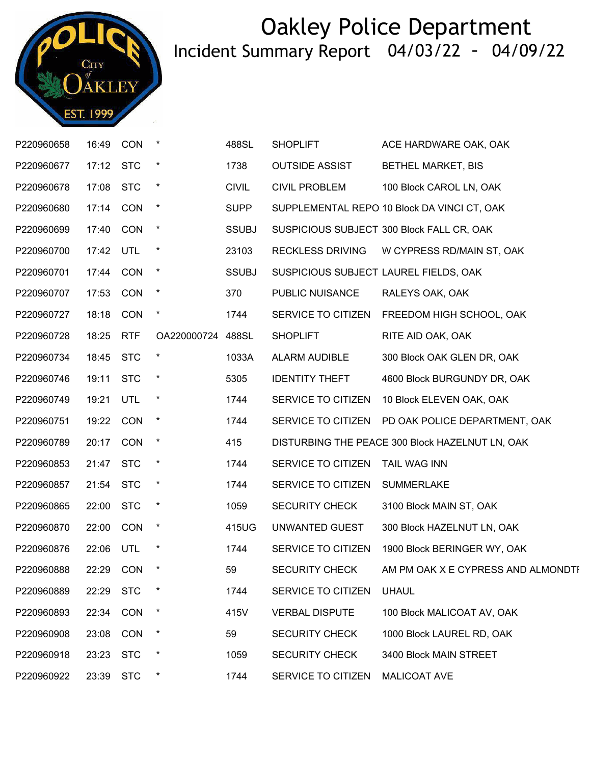

| P220960658 | 16:49     | CON        | $\star$           | 488SL        | <b>SHOPLIFT</b>         | ACE HARDWARE OAK, OAK                           |
|------------|-----------|------------|-------------------|--------------|-------------------------|-------------------------------------------------|
| P220960677 | 17:12 STC |            | $\star$           | 1738         | <b>OUTSIDE ASSIST</b>   | <b>BETHEL MARKET, BIS</b>                       |
| P220960678 | 17:08 STC |            | $\star$           | <b>CIVIL</b> | <b>CIVIL PROBLEM</b>    | 100 Block CAROL LN, OAK                         |
| P220960680 | 17:14     | CON        | $\star$           | <b>SUPP</b>  |                         | SUPPLEMENTAL REPO 10 Block DA VINCI CT, OAK     |
| P220960699 | 17:40 CON |            | $\star$           | <b>SSUBJ</b> |                         | SUSPICIOUS SUBJECT 300 Block FALL CR, OAK       |
| P220960700 | 17:42 UTL |            | $\star$           | 23103        | <b>RECKLESS DRIVING</b> | W CYPRESS RD/MAIN ST, OAK                       |
| P220960701 | 17:44     | <b>CON</b> | $\star$           | <b>SSUBJ</b> |                         | SUSPICIOUS SUBJECT LAUREL FIELDS, OAK           |
| P220960707 | 17:53 CON |            | $\star$           | 370          | PUBLIC NUISANCE         | RALEYS OAK, OAK                                 |
| P220960727 | 18:18     | CON        | $\star$           | 1744         | SERVICE TO CITIZEN      | FREEDOM HIGH SCHOOL, OAK                        |
| P220960728 | 18:25     | <b>RTF</b> | OA220000724 488SL |              | <b>SHOPLIFT</b>         | RITE AID OAK, OAK                               |
| P220960734 | 18:45 STC |            | $\star$           | 1033A        | ALARM AUDIBLE           | 300 Block OAK GLEN DR, OAK                      |
| P220960746 | 19:11 STC |            | $\star$           | 5305         | <b>IDENTITY THEFT</b>   | 4600 Block BURGUNDY DR, OAK                     |
| P220960749 | 19:21     | UTL        |                   | 1744         | SERVICE TO CITIZEN      | 10 Block ELEVEN OAK, OAK                        |
| P220960751 | 19:22 CON |            | $\star$           | 1744         | SERVICE TO CITIZEN      | PD OAK POLICE DEPARTMENT, OAK                   |
| P220960789 | 20:17 CON |            | $\star$           | 415          |                         | DISTURBING THE PEACE 300 Block HAZELNUT LN, OAK |
| P220960853 | 21:47     | <b>STC</b> | $^\star$          | 1744         | SERVICE TO CITIZEN      | TAIL WAG INN                                    |
| P220960857 | 21:54 STC |            | $^\star$          | 1744         | SERVICE TO CITIZEN      | <b>SUMMERLAKE</b>                               |
| P220960865 | 22:00 STC |            | $\star$           | 1059         | <b>SECURITY CHECK</b>   | 3100 Block MAIN ST, OAK                         |
| P220960870 | 22:00     | CON        | $\star$           | 415UG        | UNWANTED GUEST          | 300 Block HAZELNUT LN, OAK                      |
| P220960876 | 22:06 UTL |            | $\ast$            | 1744         | SERVICE TO CITIZEN      | 1900 Block BERINGER WY, OAK                     |
| P220960888 | 22:29     | <b>CON</b> | $\star$           | 59           | <b>SECURITY CHECK</b>   | AM PM OAK X E CYPRESS AND ALMONDTI              |
| P220960889 | 22:29     | <b>STC</b> |                   | 1744         | SERVICE TO CITIZEN      | <b>UHAUL</b>                                    |
| P220960893 | 22:34 CON |            | $\star$           | 415V         | <b>VERBAL DISPUTE</b>   | 100 Block MALICOAT AV, OAK                      |
| P220960908 | 23:08     | <b>CON</b> | $\star$           | 59           | <b>SECURITY CHECK</b>   | 1000 Block LAUREL RD, OAK                       |
| P220960918 | 23:23     | <b>STC</b> | $\ast$            | 1059         | <b>SECURITY CHECK</b>   | 3400 Block MAIN STREET                          |
| P220960922 | 23:39     | <b>STC</b> | $\star$           | 1744         | SERVICE TO CITIZEN      | MALICOAT AVE                                    |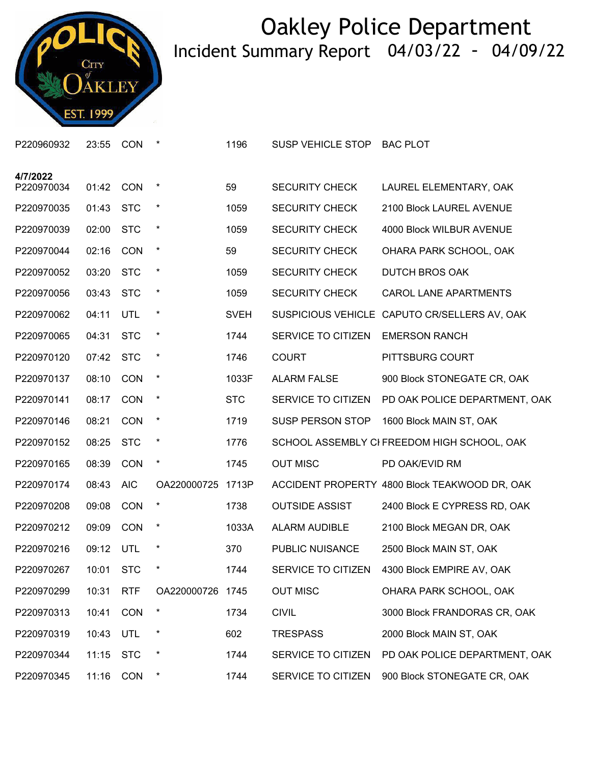

| P220960932             | 23:55 | <b>CON</b> | *                | 1196        | SUSP VEHICLE STOP     | <b>BAC PLOT</b>                               |
|------------------------|-------|------------|------------------|-------------|-----------------------|-----------------------------------------------|
| 4/7/2022<br>P220970034 | 01:42 | <b>CON</b> | $\ast$           | 59          | <b>SECURITY CHECK</b> | LAUREL ELEMENTARY, OAK                        |
| P220970035             | 01:43 | <b>STC</b> | $\star$          | 1059        | <b>SECURITY CHECK</b> | 2100 Block LAUREL AVENUE                      |
|                        |       |            |                  |             |                       |                                               |
| P220970039             | 02:00 | <b>STC</b> | $\ast$           | 1059        | <b>SECURITY CHECK</b> | 4000 Block WILBUR AVENUE                      |
| P220970044             | 02:16 | <b>CON</b> | $\ast$           | 59          | <b>SECURITY CHECK</b> | OHARA PARK SCHOOL, OAK                        |
| P220970052             | 03:20 | <b>STC</b> | $\star$          | 1059        | <b>SECURITY CHECK</b> | <b>DUTCH BROS OAK</b>                         |
| P220970056             | 03:43 | <b>STC</b> | $\ast$           | 1059        | <b>SECURITY CHECK</b> | <b>CAROL LANE APARTMENTS</b>                  |
| P220970062             | 04:11 | <b>UTL</b> | $\star$          | <b>SVEH</b> |                       | SUSPICIOUS VEHICLE CAPUTO CR/SELLERS AV, OAK  |
| P220970065             | 04:31 | <b>STC</b> | $\star$          | 1744        | SERVICE TO CITIZEN    | <b>EMERSON RANCH</b>                          |
| P220970120             | 07:42 | <b>STC</b> | $\ast$           | 1746        | <b>COURT</b>          | PITTSBURG COURT                               |
| P220970137             | 08:10 | <b>CON</b> | $\star$          | 1033F       | <b>ALARM FALSE</b>    | 900 Block STONEGATE CR, OAK                   |
| P220970141             | 08:17 | <b>CON</b> | $\star$          | <b>STC</b>  | SERVICE TO CITIZEN    | PD OAK POLICE DEPARTMENT, OAK                 |
| P220970146             | 08:21 | CON        | $\ast$           | 1719        | SUSP PERSON STOP      | 1600 Block MAIN ST, OAK                       |
| P220970152             | 08:25 | <b>STC</b> | $\ast$           | 1776        |                       | SCHOOL ASSEMBLY CI FREEDOM HIGH SCHOOL, OAK   |
| P220970165             | 08:39 | <b>CON</b> | $\ast$           | 1745        | <b>OUT MISC</b>       | PD OAK/EVID RM                                |
| P220970174             | 08:43 | <b>AIC</b> | OA220000725      | 1713P       |                       | ACCIDENT PROPERTY 4800 Block TEAKWOOD DR, OAK |
| P220970208             | 09:08 | <b>CON</b> | $\star$          | 1738        | <b>OUTSIDE ASSIST</b> | 2400 Block E CYPRESS RD, OAK                  |
| P220970212             | 09:09 | CON        | $\star$          | 1033A       | ALARM AUDIBLE         | 2100 Block MEGAN DR, OAK                      |
| P220970216             | 09:12 | UTL        | $\ast$           | 370         | PUBLIC NUISANCE       | 2500 Block MAIN ST, OAK                       |
| P220970267             | 10:01 | <b>STC</b> | *                | 1744        |                       | SERVICE TO CITIZEN 4300 Block EMPIRE AV, OAK  |
| P220970299             | 10:31 | <b>RTF</b> | OA220000726 1745 |             | <b>OUT MISC</b>       | OHARA PARK SCHOOL, OAK                        |
| P220970313             | 10:41 | <b>CON</b> | $\ast$           | 1734        | <b>CIVIL</b>          | 3000 Block FRANDORAS CR, OAK                  |
| P220970319             | 10:43 | UTL        | $\ast$           | 602         | <b>TRESPASS</b>       | 2000 Block MAIN ST, OAK                       |
| P220970344             | 11:15 | <b>STC</b> | $\ast$           | 1744        | SERVICE TO CITIZEN    | PD OAK POLICE DEPARTMENT, OAK                 |
| P220970345             | 11:16 | <b>CON</b> | $\star$          | 1744        | SERVICE TO CITIZEN    | 900 Block STONEGATE CR, OAK                   |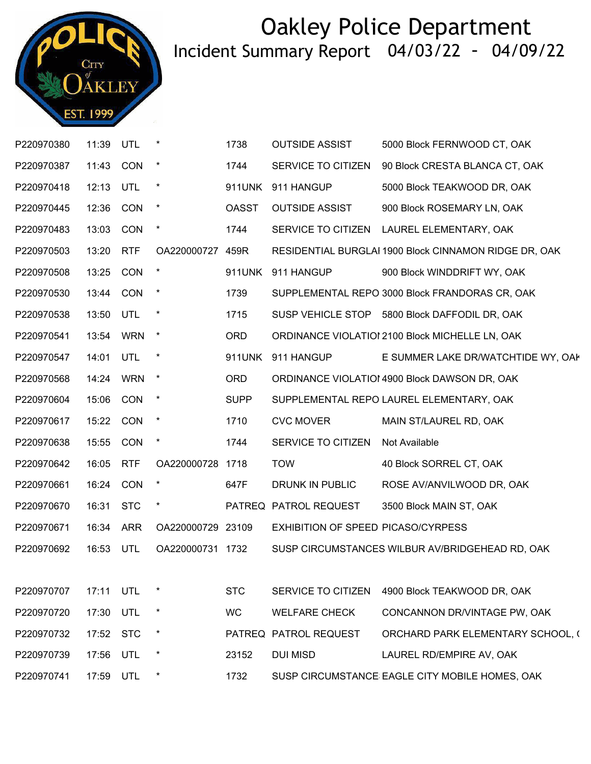

| P220970380 | 11:39     | UTL        |                   | 1738         | <b>OUTSIDE ASSIST</b>              | 5000 Block FERNWOOD CT, OAK                           |
|------------|-----------|------------|-------------------|--------------|------------------------------------|-------------------------------------------------------|
| P220970387 | 11:43     | CON        |                   | 1744         | SERVICE TO CITIZEN                 | 90 Block CRESTA BLANCA CT, OAK                        |
| P220970418 | 12:13 UTL |            | $\ast$            | 911UNK       | 911 HANGUP                         | 5000 Block TEAKWOOD DR, OAK                           |
| P220970445 | 12:36     | CON        | $\pmb{\star}$     | <b>OASST</b> | <b>OUTSIDE ASSIST</b>              | 900 Block ROSEMARY LN, OAK                            |
| P220970483 | 13:03     | <b>CON</b> |                   | 1744         |                                    | SERVICE TO CITIZEN LAUREL ELEMENTARY, OAK             |
| P220970503 | 13:20     | <b>RTF</b> | OA220000727 459R  |              |                                    | RESIDENTIAL BURGLAI 1900 Block CINNAMON RIDGE DR, OAK |
| P220970508 | 13:25     | CON        | $\star$           |              | 911UNK 911 HANGUP                  | 900 Block WINDDRIFT WY, OAK                           |
| P220970530 | 13:44     | <b>CON</b> |                   | 1739         |                                    | SUPPLEMENTAL REPO 3000 Block FRANDORAS CR, OAK        |
| P220970538 | 13:50     | UTL        | $\ast$            | 1715         |                                    | SUSP VEHICLE STOP 5800 Block DAFFODIL DR, OAK         |
| P220970541 | 13:54 WRN |            | $\star$           | <b>ORD</b>   |                                    | ORDINANCE VIOLATIOI 2100 Block MICHELLE LN, OAK       |
| P220970547 | 14:01     | <b>UTL</b> | $\star$           | 911UNK       | 911 HANGUP                         | E SUMMER LAKE DR/WATCHTIDE WY, OAM                    |
| P220970568 | 14:24 WRN |            | $\rightarrow$     | <b>ORD</b>   |                                    | ORDINANCE VIOLATIOI 4900 Block DAWSON DR, OAK         |
| P220970604 | 15:06 CON |            | $\star$           | <b>SUPP</b>  |                                    | SUPPLEMENTAL REPO LAUREL ELEMENTARY, OAK              |
| P220970617 | 15:22 CON |            | $\star$           | 1710         | <b>CVC MOVER</b>                   | MAIN ST/LAUREL RD, OAK                                |
| P220970638 | 15:55     | CON        | $\star$           | 1744         | SERVICE TO CITIZEN                 | Not Available                                         |
| P220970642 | 16:05     | <b>RTF</b> | OA220000728       | 1718         | <b>TOW</b>                         | 40 Block SORREL CT, OAK                               |
| P220970661 | 16:24     | <b>CON</b> |                   | 647F         | DRUNK IN PUBLIC                    | ROSE AV/ANVILWOOD DR, OAK                             |
| P220970670 | 16:31     | <b>STC</b> | $^\star$          |              | PATREQ PATROL REQUEST              | 3500 Block MAIN ST, OAK                               |
| P220970671 | 16:34 ARR |            | OA220000729 23109 |              | EXHIBITION OF SPEED PICASO/CYRPESS |                                                       |
| P220970692 | 16:53     | <b>UTL</b> | OA220000731 1732  |              |                                    | SUSP CIRCUMSTANCES WILBUR AV/BRIDGEHEAD RD, OAK       |
|            |           |            |                   |              |                                    |                                                       |
| P220970707 | 17:11     | <b>UTL</b> |                   | <b>STC</b>   | SERVICE TO CITIZEN                 | 4900 Block TEAKWOOD DR, OAK                           |
| P220970720 | 17:30     | UTL        | $\ast$            | <b>WC</b>    | <b>WELFARE CHECK</b>               | CONCANNON DR/VINTAGE PW, OAK                          |
| P220970732 | 17:52     | <b>STC</b> | $\star$           |              | PATREQ PATROL REQUEST              | ORCHARD PARK ELEMENTARY SCHOOL, (                     |
| P220970739 | 17:56     | UTL        | $\ast$            | 23152        | <b>DUI MISD</b>                    | LAUREL RD/EMPIRE AV, OAK                              |
| P220970741 | 17:59     | <b>UTL</b> | $\ast$            | 1732         |                                    | SUSP CIRCUMSTANCE EAGLE CITY MOBILE HOMES, OAK        |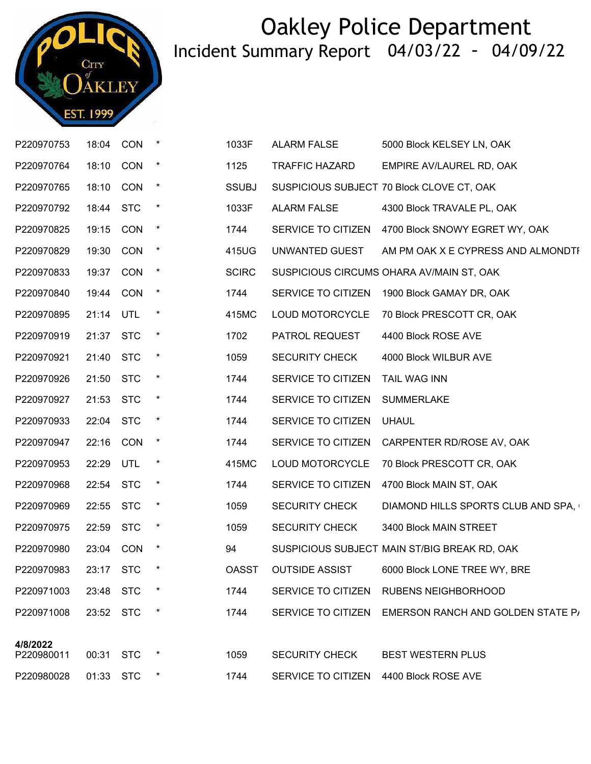

| P220970753 | 18:04 CON |            | $\star$  | 1033F        | <b>ALARM FALSE</b>                     | 5000 Block KELSEY LN, OAK                    |
|------------|-----------|------------|----------|--------------|----------------------------------------|----------------------------------------------|
| P220970764 | 18:10     | <b>CON</b> | $\star$  | 1125         | <b>TRAFFIC HAZARD</b>                  | EMPIRE AV/LAUREL RD, OAK                     |
| P220970765 | 18:10 CON |            | $\star$  | <b>SSUBJ</b> |                                        | SUSPICIOUS SUBJECT 70 Block CLOVE CT, OAK    |
| P220970792 | 18:44 STC |            | $\star$  | 1033F        | <b>ALARM FALSE</b>                     | 4300 Block TRAVALE PL, OAK                   |
| P220970825 | 19:15 CON |            | $\star$  | 1744         | SERVICE TO CITIZEN                     | 4700 Block SNOWY EGRET WY, OAK               |
| P220970829 | 19:30 CON |            | $\star$  | 415UG        | UNWANTED GUEST                         | AM PM OAK X E CYPRESS AND ALMONDTI           |
| P220970833 | 19:37 CON |            | $\star$  | <b>SCIRC</b> |                                        | SUSPICIOUS CIRCUMS OHARA AV/MAIN ST, OAK     |
| P220970840 | 19:44     | CON        | $\star$  | 1744         | SERVICE TO CITIZEN                     | 1900 Block GAMAY DR, OAK                     |
| P220970895 | 21:14 UTL |            | $\star$  | 415MC        | LOUD MOTORCYCLE                        | 70 Block PRESCOTT CR, OAK                    |
| P220970919 | 21:37     | <b>STC</b> | $^\star$ | 1702         | PATROL REQUEST                         | 4400 Block ROSE AVE                          |
| P220970921 | 21:40     | <b>STC</b> | $\star$  | 1059         | SECURITY CHECK                         | 4000 Block WILBUR AVE                        |
| P220970926 | 21:50 STC |            | $\star$  | 1744         | SERVICE TO CITIZEN                     | TAIL WAG INN                                 |
| P220970927 | 21:53 STC |            | $\star$  | 1744         | SERVICE TO CITIZEN                     | <b>SUMMERLAKE</b>                            |
| P220970933 | 22:04 STC |            | $\star$  | 1744         | SERVICE TO CITIZEN                     | <b>UHAUL</b>                                 |
| P220970947 | 22:16 CON |            | $\star$  | 1744         | SERVICE TO CITIZEN                     | CARPENTER RD/ROSE AV, OAK                    |
| P220970953 | 22:29     | UTL        | $^\star$ | 415MC        | LOUD MOTORCYCLE                        | 70 Block PRESCOTT CR, OAK                    |
| P220970968 | 22:54 STC |            | $^\star$ | 1744         | SERVICE TO CITIZEN                     | 4700 Block MAIN ST, OAK                      |
| P220970969 | 22:55 STC |            | $\star$  | 1059         | <b>SECURITY CHECK</b>                  | DIAMOND HILLS SPORTS CLUB AND SPA,           |
| P220970975 | 22:59 STC |            | $\star$  | 1059         | <b>SECURITY CHECK</b>                  | 3400 Block MAIN STREET                       |
| P220970980 | 23:04 CON |            | $\star$  | 94           |                                        | SUSPICIOUS SUBJECT MAIN ST/BIG BREAK RD, OAK |
| P220970983 | 23:17 STC |            | $\star$  | <b>OASST</b> | <b>OUTSIDE ASSIST</b>                  | 6000 Block LONE TREE WY, BRE                 |
| P220971003 | 23:48     | <b>STC</b> | $\ast$   | 1744         |                                        | SERVICE TO CITIZEN RUBENS NEIGHBORHOOD       |
| P220971008 | 23:52 STC |            | $\star$  | 1744         | SERVICE TO CITIZEN                     | EMERSON RANCH AND GOLDEN STATE P/            |
| 4/8/2022   |           |            |          |              |                                        |                                              |
| P220980011 | 00:31     | <b>STC</b> | $\ast$   | 1059         | <b>SECURITY CHECK</b>                  | <b>BEST WESTERN PLUS</b>                     |
| P220980028 | 01:33 STC |            | $\ast$   | 1744         | SERVICE TO CITIZEN 4400 Block ROSE AVE |                                              |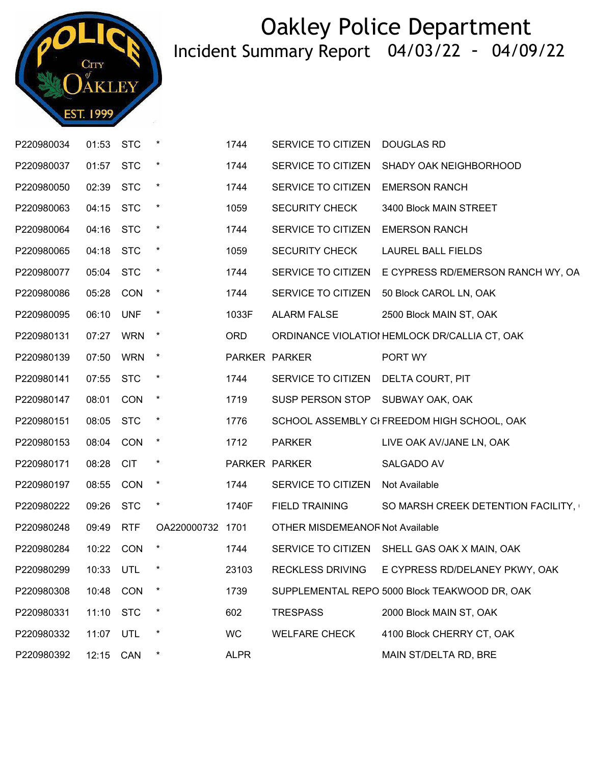

| P220980034 | 01:53     | <b>STC</b> |                  | 1744        | SERVICE TO CITIZEN                  | <b>DOUGLAS RD</b>                                    |
|------------|-----------|------------|------------------|-------------|-------------------------------------|------------------------------------------------------|
| P220980037 | 01:57     | <b>STC</b> |                  | 1744        | SERVICE TO CITIZEN                  | SHADY OAK NEIGHBORHOOD                               |
| P220980050 | 02:39 STC |            | $\star$          | 1744        | SERVICE TO CITIZEN                  | <b>EMERSON RANCH</b>                                 |
| P220980063 | 04:15     | <b>STC</b> | $\star$          | 1059        | <b>SECURITY CHECK</b>               | 3400 Block MAIN STREET                               |
| P220980064 | 04:16     | <b>STC</b> |                  | 1744        | SERVICE TO CITIZEN                  | <b>EMERSON RANCH</b>                                 |
| P220980065 | 04:18 STC |            | $\star$          | 1059        | <b>SECURITY CHECK</b>               | <b>LAUREL BALL FIELDS</b>                            |
| P220980077 | 05:04     | <b>STC</b> | $\star$          | 1744        |                                     | SERVICE TO CITIZEN E CYPRESS RD/EMERSON RANCH WY, OA |
| P220980086 | 05:28     | <b>CON</b> | $\star$          | 1744        | SERVICE TO CITIZEN                  | 50 Block CAROL LN, OAK                               |
| P220980095 | 06:10     | <b>UNF</b> |                  | 1033F       | <b>ALARM FALSE</b>                  | 2500 Block MAIN ST, OAK                              |
| P220980131 | 07:27     | <b>WRN</b> | $\star$          | <b>ORD</b>  |                                     | ORDINANCE VIOLATIOI HEMLOCK DR/CALLIA CT, OAK        |
| P220980139 | 07:50     | <b>WRN</b> | $\star$          |             | PARKER PARKER                       | PORT WY                                              |
| P220980141 | 07:55 STC |            | $\star$          | 1744        | SERVICE TO CITIZEN DELTA COURT, PIT |                                                      |
| P220980147 | 08:01     | <b>CON</b> | $\star$          | 1719        | SUSP PERSON STOP SUBWAY OAK, OAK    |                                                      |
| P220980151 | 08:05     | <b>STC</b> | $\star$          | 1776        |                                     | SCHOOL ASSEMBLY CI FREEDOM HIGH SCHOOL, OAK          |
| P220980153 | 08:04     | CON        | $\star$          | 1712        | <b>PARKER</b>                       | LIVE OAK AV/JANE LN, OAK                             |
| P220980171 | 08:28     | <b>CIT</b> | $\ast$           |             | PARKER PARKER                       | SALGADO AV                                           |
| P220980197 | 08:55     | <b>CON</b> | $\star$          | 1744        | SERVICE TO CITIZEN                  | Not Available                                        |
| P220980222 | 09:26     | <b>STC</b> | $\star$          | 1740F       | FIELD TRAINING                      | SO MARSH CREEK DETENTION FACILITY,                   |
| P220980248 | 09:49     | <b>RTF</b> | OA220000732 1701 |             | OTHER MISDEMEANOF Not Available     |                                                      |
| P220980284 | 10:22 CON |            |                  | 1744        |                                     | SERVICE TO CITIZEN SHELL GAS OAK X MAIN, OAK         |
| P220980299 | 10:33 UTL |            | $\star$          | 23103       | RECKLESS DRIVING                    | E CYPRESS RD/DELANEY PKWY, OAK                       |
| P220980308 | 10:48     | <b>CON</b> |                  | 1739        |                                     | SUPPLEMENTAL REPO 5000 Block TEAKWOOD DR, OAK        |
| P220980331 | 11:10     | <b>STC</b> | $\ast$           | 602         | <b>TRESPASS</b>                     | 2000 Block MAIN ST, OAK                              |
| P220980332 | 11:07     | UTL        |                  | <b>WC</b>   | <b>WELFARE CHECK</b>                | 4100 Block CHERRY CT, OAK                            |
| P220980392 | 12:15 CAN |            |                  | <b>ALPR</b> |                                     | MAIN ST/DELTA RD, BRE                                |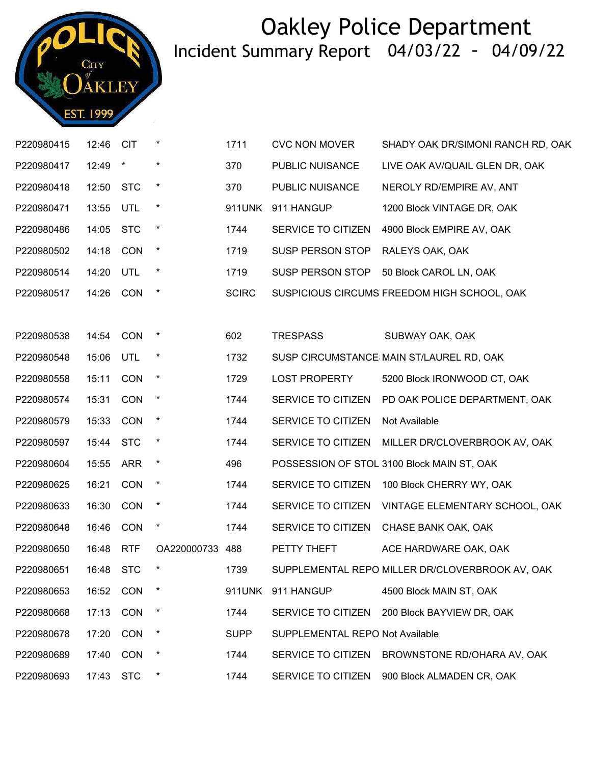

| P220980415 | 12:46     | <b>CIT</b> | $\ast$      | 1711         | <b>CVC NON MOVER</b>            | SHADY OAK DR/SIMONI RANCH RD, OAK               |
|------------|-----------|------------|-------------|--------------|---------------------------------|-------------------------------------------------|
| P220980417 | 12:49     | $\star$    | $\star$     | 370          | PUBLIC NUISANCE                 | LIVE OAK AV/QUAIL GLEN DR, OAK                  |
| P220980418 | 12:50     | <b>STC</b> | $\star$     | 370          | PUBLIC NUISANCE                 | NEROLY RD/EMPIRE AV, ANT                        |
| P220980471 | 13:55     | UTL        | $\star$     | 911UNK       | 911 HANGUP                      | 1200 Block VINTAGE DR, OAK                      |
| P220980486 | 14:05     | <b>STC</b> | $\star$     | 1744         | SERVICE TO CITIZEN              | 4900 Block EMPIRE AV, OAK                       |
| P220980502 | 14:18     | <b>CON</b> | $\star$     | 1719         | <b>SUSP PERSON STOP</b>         | RALEYS OAK, OAK                                 |
| P220980514 | 14:20     | UTL        | $\ast$      | 1719         | <b>SUSP PERSON STOP</b>         | 50 Block CAROL LN, OAK                          |
| P220980517 | 14:26     | <b>CON</b> | $\star$     | <b>SCIRC</b> |                                 | SUSPICIOUS CIRCUMS FREEDOM HIGH SCHOOL, OAK     |
|            |           |            |             |              |                                 |                                                 |
| P220980538 | 14:54     | <b>CON</b> |             | 602          | <b>TRESPASS</b>                 | SUBWAY OAK, OAK                                 |
| P220980548 | 15:06     | UTL        | $\ast$      | 1732         |                                 | SUSP CIRCUMSTANCE MAIN ST/LAUREL RD, OAK        |
| P220980558 | 15:11     | CON        | $\star$     | 1729         | <b>LOST PROPERTY</b>            | 5200 Block IRONWOOD CT, OAK                     |
| P220980574 | 15:31     | CON        | $\ast$      | 1744         | SERVICE TO CITIZEN              | PD OAK POLICE DEPARTMENT, OAK                   |
| P220980579 | 15:33     | <b>CON</b> | $\ast$      | 1744         | SERVICE TO CITIZEN              | Not Available                                   |
| P220980597 | 15:44     | <b>STC</b> | $\star$     | 1744         | SERVICE TO CITIZEN              | MILLER DR/CLOVERBROOK AV, OAK                   |
| P220980604 | 15:55     | <b>ARR</b> | $\ast$      | 496          |                                 | POSSESSION OF STOL 3100 Block MAIN ST, OAK      |
| P220980625 | 16:21     | CON        | $\star$     | 1744         | SERVICE TO CITIZEN              | 100 Block CHERRY WY, OAK                        |
| P220980633 | 16:30     | <b>CON</b> | $\star$     | 1744         | SERVICE TO CITIZEN              | VINTAGE ELEMENTARY SCHOOL, OAK                  |
| P220980648 | 16:46     | CON        | $\star$     | 1744         | SERVICE TO CITIZEN              | CHASE BANK OAK, OAK                             |
| P220980650 | 16:48     | <b>RTF</b> | OA220000733 | 488          | PETTY THEFT                     | ACE HARDWARE OAK, OAK                           |
| P220980651 | 16:48 STC |            |             | 1739         |                                 | SUPPLEMENTAL REPO MILLER DR/CLOVERBROOK AV, OAK |
| P220980653 | 16:52     | CON        |             | 911UNK       | 911 HANGUP                      | 4500 Block MAIN ST, OAK                         |
| P220980668 | 17:13     | CON        | $\ast$      | 1744         | SERVICE TO CITIZEN              | 200 Block BAYVIEW DR, OAK                       |
| P220980678 | 17:20     | CON        | $\star$     | <b>SUPP</b>  | SUPPLEMENTAL REPO Not Available |                                                 |
| P220980689 | 17:40     | <b>CON</b> | $\star$     | 1744         | SERVICE TO CITIZEN              | BROWNSTONE RD/OHARA AV, OAK                     |
| P220980693 | 17:43     | <b>STC</b> | $\ast$      | 1744         | SERVICE TO CITIZEN              | 900 Block ALMADEN CR, OAK                       |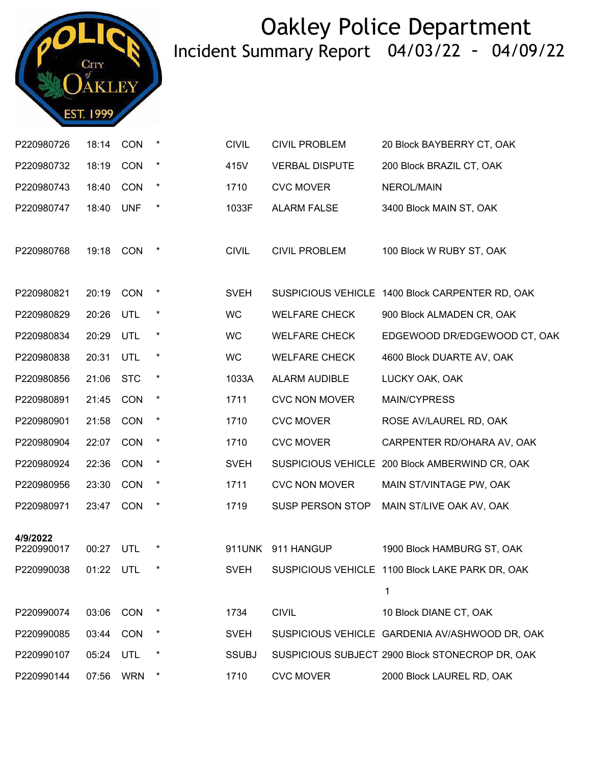

| P220980726             | 18:14     | CON        | $\star$ | <b>CIVIL</b> | <b>CIVIL PROBLEM</b>    | 20 Block BAYBERRY CT, OAK                       |
|------------------------|-----------|------------|---------|--------------|-------------------------|-------------------------------------------------|
| P220980732             | 18:19     | CON        | $\star$ | 415V         | <b>VERBAL DISPUTE</b>   | 200 Block BRAZIL CT, OAK                        |
| P220980743             | 18:40     | CON        | $\star$ | 1710         | <b>CVC MOVER</b>        | NEROL/MAIN                                      |
| P220980747             | 18:40     | <b>UNF</b> | $\star$ | 1033F        | <b>ALARM FALSE</b>      | 3400 Block MAIN ST, OAK                         |
|                        |           |            |         |              |                         |                                                 |
| P220980768             | 19:18     | CON        | $\star$ | <b>CIVIL</b> | <b>CIVIL PROBLEM</b>    | 100 Block W RUBY ST, OAK                        |
|                        |           |            |         |              |                         |                                                 |
| P220980821             | 20:19     | CON        | $\star$ | <b>SVEH</b>  |                         | SUSPICIOUS VEHICLE 1400 Block CARPENTER RD, OAK |
| P220980829             | 20:26     | UTL        | $\ast$  | <b>WC</b>    | <b>WELFARE CHECK</b>    | 900 Block ALMADEN CR, OAK                       |
| P220980834             | 20:29     | UTL        | $\star$ | <b>WC</b>    | <b>WELFARE CHECK</b>    | EDGEWOOD DR/EDGEWOOD CT, OAK                    |
| P220980838             | 20:31     | UTL        | $\star$ | <b>WC</b>    | <b>WELFARE CHECK</b>    | 4600 Block DUARTE AV, OAK                       |
| P220980856             | 21:06     | <b>STC</b> | $\star$ | 1033A        | ALARM AUDIBLE           | LUCKY OAK, OAK                                  |
| P220980891             | 21:45     | CON        | $\star$ | 1711         | <b>CVC NON MOVER</b>    | MAIN/CYPRESS                                    |
| P220980901             | 21:58     | CON        | $\star$ | 1710         | <b>CVC MOVER</b>        | ROSE AV/LAUREL RD, OAK                          |
| P220980904             | 22:07     | CON        | $\star$ | 1710         | <b>CVC MOVER</b>        | CARPENTER RD/OHARA AV, OAK                      |
| P220980924             | 22:36     | CON        | $\star$ | <b>SVEH</b>  |                         | SUSPICIOUS VEHICLE 200 Block AMBERWIND CR, OAK  |
| P220980956             | 23:30     | CON        | $\star$ | 1711         | <b>CVC NON MOVER</b>    | MAIN ST/VINTAGE PW, OAK                         |
| P220980971             | 23:47     | CON        | $\star$ | 1719         | <b>SUSP PERSON STOP</b> | MAIN ST/LIVE OAK AV, OAK                        |
|                        |           |            |         |              |                         |                                                 |
| 4/9/2022<br>P220990017 | 00:27     | UTL        | $\ast$  |              | 911UNK 911 HANGUP       | 1900 Block HAMBURG ST, OAK                      |
| P220990038             | 01:22 UTL |            | $\star$ | <b>SVEH</b>  |                         | SUSPICIOUS VEHICLE 1100 Block LAKE PARK DR, OAK |
|                        |           |            |         |              |                         | 1                                               |
| P220990074             | 03:06     | CON        | $\ast$  | 1734         | <b>CIVIL</b>            | 10 Block DIANE CT, OAK                          |
| P220990085             | 03:44     | CON        | $\ast$  | <b>SVEH</b>  |                         | SUSPICIOUS VEHICLE GARDENIA AV/ASHWOOD DR, OAK  |
| P220990107             | 05:24     | UTL        | $\ast$  | <b>SSUBJ</b> |                         | SUSPICIOUS SUBJECT 2900 Block STONECROP DR, OAK |
| P220990144             | 07:56     | <b>WRN</b> | $\star$ | 1710         | <b>CVC MOVER</b>        | 2000 Block LAUREL RD, OAK                       |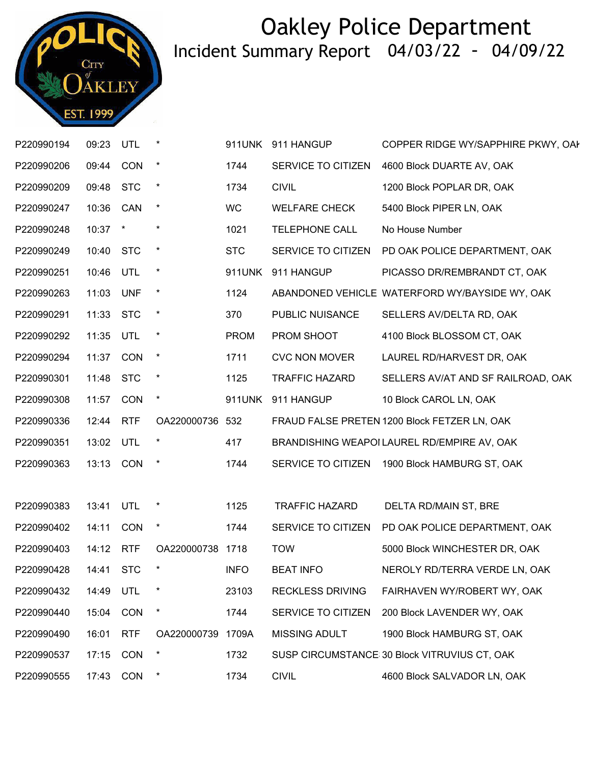

| P220990194 | 09:23 UTL |             |                  |               | 911UNK 911 HANGUP       | COPPER RIDGE WY/SAPPHIRE PKWY, OAI               |
|------------|-----------|-------------|------------------|---------------|-------------------------|--------------------------------------------------|
| P220990206 | 09:44 CON |             | $\star$          | 1744          | SERVICE TO CITIZEN      | 4600 Block DUARTE AV, OAK                        |
| P220990209 | 09:48     | <b>STC</b>  | $\ast$           | 1734          | <b>CIVIL</b>            | 1200 Block POPLAR DR, OAK                        |
| P220990247 | 10:36 CAN |             | $\star$          | <b>WC</b>     | <b>WELFARE CHECK</b>    | 5400 Block PIPER LN, OAK                         |
| P220990248 | 10:37 *   |             | $\ast$           | 1021          | <b>TELEPHONE CALL</b>   | No House Number                                  |
| P220990249 | 10:40     | <b>STC</b>  | $\ast$           | <b>STC</b>    |                         | SERVICE TO CITIZEN PD OAK POLICE DEPARTMENT, OAK |
| P220990251 | 10:46 UTL |             | $\star$          | 911UNK        | 911 HANGUP              | PICASSO DR/REMBRANDT CT, OAK                     |
| P220990263 | 11:03 UNF |             | $\star$          | 1124          |                         | ABANDONED VEHICLE WATERFORD WY/BAYSIDE WY, OAK   |
| P220990291 | 11:33     | <b>STC</b>  | $\ast$           | 370           | PUBLIC NUISANCE         | SELLERS AV/DELTA RD, OAK                         |
| P220990292 | 11:35     | UTL         | $\ast$           | <b>PROM</b>   | PROM SHOOT              | 4100 Block BLOSSOM CT, OAK                       |
| P220990294 | 11:37     | <b>CON</b>  | $\star$          | 1711          | <b>CVC NON MOVER</b>    | LAUREL RD/HARVEST DR, OAK                        |
| P220990301 | 11:48     | <b>STC</b>  | $\ast$           | 1125          | <b>TRAFFIC HAZARD</b>   | SELLERS AV/AT AND SF RAILROAD, OAK               |
| P220990308 | 11:57     | <b>CON</b>  | $\star$          | <b>911UNK</b> | 911 HANGUP              | 10 Block CAROL LN, OAK                           |
|            |           |             |                  |               |                         |                                                  |
| P220990336 | 12:44 RTF |             | OA220000736 532  |               |                         | FRAUD FALSE PRETEN 1200 Block FETZER LN, OAK     |
| P220990351 | 13:02     | UTL         | $\ast$           | 417           |                         | BRANDISHING WEAPOI LAUREL RD/EMPIRE AV, OAK      |
| P220990363 | 13:13 CON |             |                  | 1744          |                         | SERVICE TO CITIZEN 1900 Block HAMBURG ST, OAK    |
|            |           |             |                  |               |                         |                                                  |
| P220990383 | 13:41     | <b>UTL</b>  | $\ast$           | 1125          | <b>TRAFFIC HAZARD</b>   | DELTA RD/MAIN ST, BRE                            |
| P220990402 | 14:11     | <b>CON</b>  | $\star$          | 1744          | SERVICE TO CITIZEN      | PD OAK POLICE DEPARTMENT, OAK                    |
| P220990403 | 14:12 RTF |             | OA220000738 1718 |               | <b>TOW</b>              | 5000 Block WINCHESTER DR, OAK                    |
| P220990428 |           | 14:41 STC * |                  | <b>INFO</b>   | <b>BEAT INFO</b>        | NEROLY RD/TERRA VERDE LN, OAK                    |
| P220990432 | 14:49     | UTL         |                  | 23103         | <b>RECKLESS DRIVING</b> | FAIRHAVEN WY/ROBERT WY, OAK                      |
| P220990440 | 15:04     | <b>CON</b>  | $\ast$           | 1744          | SERVICE TO CITIZEN      | 200 Block LAVENDER WY, OAK                       |
| P220990490 | 16:01     | <b>RTF</b>  | OA220000739      | 1709A         | <b>MISSING ADULT</b>    | 1900 Block HAMBURG ST, OAK                       |
| P220990537 | 17:15     | CON         |                  | 1732          |                         | SUSP CIRCUMSTANCE 30 Block VITRUVIUS CT, OAK     |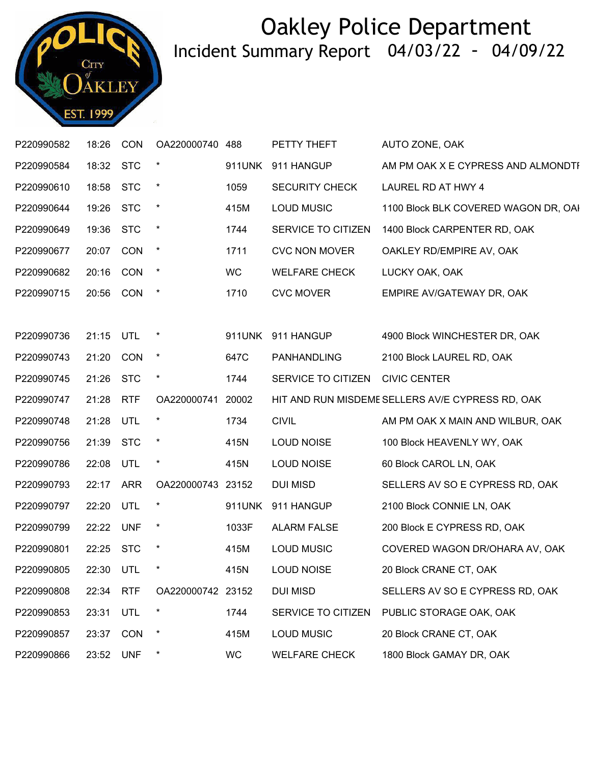

| P220990582 | 18:26     | CON        | OA220000740       | 488       | PETTY THEFT                     | AUTO ZONE, OAK                                   |
|------------|-----------|------------|-------------------|-----------|---------------------------------|--------------------------------------------------|
| P220990584 | 18:32     | <b>STC</b> |                   | 911UNK    | 911 HANGUP                      | AM PM OAK X E CYPRESS AND ALMONDTI               |
| P220990610 | 18:58 STC |            | $\star$           | 1059      | <b>SECURITY CHECK</b>           | LAUREL RD AT HWY 4                               |
| P220990644 | 19:26     | <b>STC</b> | $\star$           | 415M      | <b>LOUD MUSIC</b>               | 1100 Block BLK COVERED WAGON DR, OAI             |
| P220990649 | 19:36     | <b>STC</b> | $\star$           | 1744      | SERVICE TO CITIZEN              | 1400 Block CARPENTER RD, OAK                     |
| P220990677 | 20:07 CON |            | $\star$           | 1711      | <b>CVC NON MOVER</b>            | OAKLEY RD/EMPIRE AV, OAK                         |
| P220990682 | 20:16     | <b>CON</b> | $\star$           | <b>WC</b> | <b>WELFARE CHECK</b>            | LUCKY OAK, OAK                                   |
| P220990715 | 20:56     | <b>CON</b> | $\star$           | 1710      | <b>CVC MOVER</b>                | EMPIRE AV/GATEWAY DR, OAK                        |
|            |           |            |                   |           |                                 |                                                  |
| P220990736 | 21:15     | UTL        | $\star$           | 911UNK    | 911 HANGUP                      | 4900 Block WINCHESTER DR, OAK                    |
| P220990743 | 21:20     | CON        | $\star$           | 647C      | <b>PANHANDLING</b>              | 2100 Block LAUREL RD, OAK                        |
| P220990745 | 21:26 STC |            | $\star$           | 1744      | SERVICE TO CITIZEN CIVIC CENTER |                                                  |
| P220990747 | 21:28     | <b>RTF</b> | OA220000741 20002 |           |                                 | HIT AND RUN MISDEME SELLERS AV/E CYPRESS RD, OAK |
| P220990748 | 21:28     | UTL        | $\star$           | 1734      | <b>CIVIL</b>                    | AM PM OAK X MAIN AND WILBUR, OAK                 |
| P220990756 | 21:39 STC |            | $\star$           | 415N      | LOUD NOISE                      | 100 Block HEAVENLY WY, OAK                       |
| P220990786 | 22:08     | UTL        | $\star$           | 415N      | <b>LOUD NOISE</b>               | 60 Block CAROL LN, OAK                           |
| P220990793 | 22:17     | <b>ARR</b> | OA220000743 23152 |           | <b>DUI MISD</b>                 | SELLERS AV SO E CYPRESS RD, OAK                  |
| P220990797 | 22:20 UTL |            | $\ast$            | 911UNK    | 911 HANGUP                      | 2100 Block CONNIE LN, OAK                        |
| P220990799 | 22:22 UNF |            | $\star$           | 1033F     | <b>ALARM FALSE</b>              | 200 Block E CYPRESS RD, OAK                      |
| P220990801 | 22:25 STC |            | $\star$           | 415M      | <b>LOUD MUSIC</b>               | COVERED WAGON DR/OHARA AV, OAK                   |
| P220990805 | 22:30 UTL |            | $\star$           | 415N      | <b>LOUD NOISE</b>               | 20 Block CRANE CT, OAK                           |
| P220990808 | 22:34     | <b>RTF</b> | OA220000742 23152 |           | <b>DUI MISD</b>                 | SELLERS AV SO E CYPRESS RD, OAK                  |
| P220990853 | 23:31     | UTL        | $\ast$            | 1744      | SERVICE TO CITIZEN              | PUBLIC STORAGE OAK, OAK                          |
| P220990857 | 23:37     | <b>CON</b> | $\star$           | 415M      | <b>LOUD MUSIC</b>               | 20 Block CRANE CT, OAK                           |
| P220990866 | 23:52     | <b>UNF</b> | $\ast$            | WC        | <b>WELFARE CHECK</b>            | 1800 Block GAMAY DR, OAK                         |